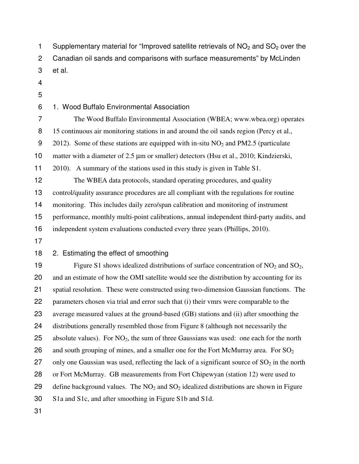1 Supplementary material for "Improved satellite retrievals of  $NO<sub>2</sub>$  and  $SO<sub>2</sub>$  over the 2 Canadian oil sands and comparisons with surface measurements" by McLinden 3 et al. 4 5 6 1. Wood Buffalo Environmental Association 7 The Wood Buffalo Environmental Association (WBEA; www.wbea.org) operates 8 15 continuous air monitoring stations in and around the oil sands region (Percy et al., 9 2012). Some of these stations are equipped with in-situ  $NO<sub>2</sub>$  and PM2.5 (particulate 10 matter with a diameter of 2.5 µm or smaller) detectors (Hsu et al., 2010; Kindzierski, 11 2010). A summary of the stations used in this study is given in Table S1. 12 The WBEA data protocols, standard operating procedures, and quality 13 control/quality assurance procedures are all compliant with the regulations for routine 14 monitoring. This includes daily zero/span calibration and monitoring of instrument 15 performance, monthly multi-point calibrations, annual independent third-party audits, and 16 independent system evaluations conducted every three years (Phillips, 2010). 17 18 2. Estimating the effect of smoothing 19 Figure S1 shows idealized distributions of surface concentration of  $NO<sub>2</sub>$  and  $SO<sub>2</sub>$ , 20 and an estimate of how the OMI satellite would see the distribution by accounting for its 21 spatial resolution. These were constructed using two-dimension Gaussian functions. The 22 parameters chosen via trial and error such that (i) their vmrs were comparable to the 23 average measured values at the ground-based (GB) stations and (ii) after smoothing the 24 distributions generally resembled those from Figure 8 (although not necessarily the 25 absolute values). For  $NO<sub>2</sub>$ , the sum of three Gaussians was used: one each for the north 26 and south grouping of mines, and a smaller one for the Fort McMurray area. For  $SO_2$ 27 only one Gaussian was used, reflecting the lack of a significant source of  $SO_2$  in the north 28 or Fort McMurray. GB measurements from Fort Chipewyan (station 12) were used to 29 define background values. The  $NO<sub>2</sub>$  and  $SO<sub>2</sub>$  idealized distributions are shown in Figure 30 S1a and S1c, and after smoothing in Figure S1b and S1d. 31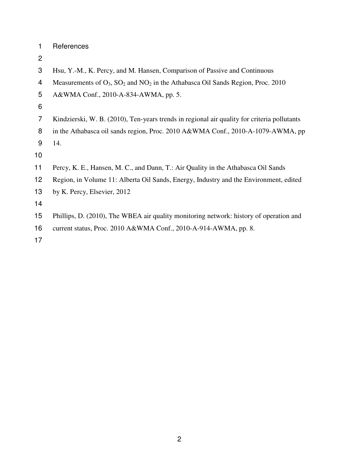| References |  |
|------------|--|
|------------|--|

- 
- Hsu, Y.-M., K. Percy, and M. Hansen, Comparison of Passive and Continuous
- 4 Measurements of  $O_3$ ,  $SO_2$  and  $NO_2$  in the Athabasca Oil Sands Region, Proc. 2010
- A&WMA Conf., 2010-A-834-AWMA, pp. 5.
- 
- Kindzierski, W. B. (2010), Ten-years trends in regional air quality for criteria pollutants
- 8 in the Athabasca oil sands region, Proc. 2010 A&WMA Conf., 2010-A-1079-AWMA, pp

14.

- Percy, K. E., Hansen, M. C., and Dann, T.: Air Quality in the Athabasca Oil Sands
- Region, in Volume 11: Alberta Oil Sands, Energy, Industry and the Environment, edited
- by K. Percy, Elsevier, 2012

- Phillips, D. (2010), The WBEA air quality monitoring network: history of operation and
- current status, Proc. 2010 A&WMA Conf., 2010-A-914-AWMA, pp. 8.
-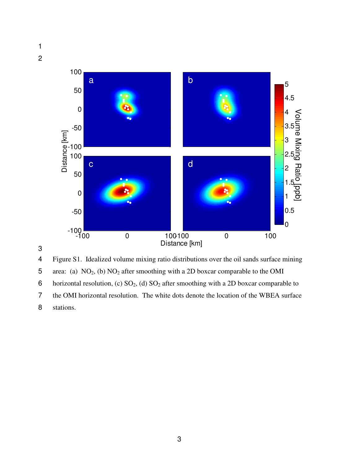1 2







4 Figure S1. Idealized volume mixing ratio distributions over the oil sands surface mining

5 area: (a)  $NO_2$ , (b)  $NO_2$  after smoothing with a 2D boxcar comparable to the OMI

6 horizontal resolution, (c)  $SO_2$ , (d)  $SO_2$  after smoothing with a 2D boxcar comparable to

7 the OMI horizontal resolution. The white dots denote the location of the WBEA surface 8 stations.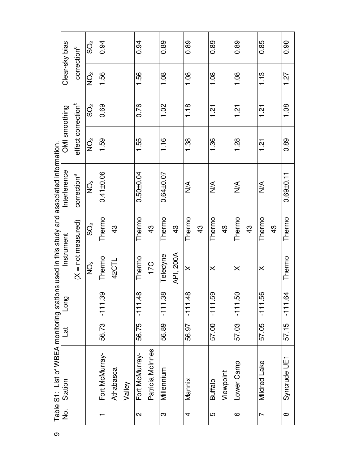| $\frac{1}{2}$ | Table S1: List of WBEA monitoring stations used in this study and associated information.<br>Station | Lat   | Long      | Instrument                        |                         | Interference            | OMI smoothing                  |                            | Clear-sky bias          |                 |
|---------------|------------------------------------------------------------------------------------------------------|-------|-----------|-----------------------------------|-------------------------|-------------------------|--------------------------------|----------------------------|-------------------------|-----------------|
|               |                                                                                                      |       |           | $(X = not measured)$              |                         | correction <sup>a</sup> | effect correction <sup>b</sup> |                            | correction <sup>c</sup> |                 |
|               |                                                                                                      |       |           | $\mathop{\odot}\limits^{\circ}_Z$ | $\mathring{\mathrm{O}}$ | o<br>I⊇                 | $\overrightarrow{O}$           | $\mathcal{S}^{\mathsf{S}}$ | $\sum_{i=1}^{n}$        | $\mathcal{S}^2$ |
|               | Fort McMurray-                                                                                       | 56.73 | $-111.39$ | Thermo                            | Thermo                  | $0.41 \pm 0.06$         | 1.59                           | 0.69                       | 1.56                    | 0.94            |
|               | Athabasca                                                                                            |       |           | 42CTL                             | $\frac{3}{4}$           |                         |                                |                            |                         |                 |
|               | Valley                                                                                               |       |           |                                   |                         |                         |                                |                            |                         |                 |
|               | Fort McMurray-                                                                                       | 56.75 | $-111.48$ | Thermo                            | Thermo                  | $0.50_{10}$ .04         | 1.55                           | 0.76                       | 1.56                    | 0.94            |
|               | Patricia McInnes                                                                                     |       |           | 17C                               | $\frac{3}{4}$           |                         |                                |                            |                         |                 |
|               | Millennium                                                                                           | 56.89 | $-111.38$ | Teledyne                          | Thermo                  | $0.64 \pm 0.07$         | 1.16                           | 1.02                       | 1.08                    | 0.89            |
|               |                                                                                                      |       |           | API, 200A                         | 43                      |                         |                                |                            |                         |                 |
|               | Mannix                                                                                               | 56.97 | $-111.48$ | $\times$                          | Thermo                  | $\frac{4}{2}$           | 1.38                           | 1.18                       | 1.08                    | 0.89            |
|               |                                                                                                      |       |           |                                   | 43                      |                         |                                |                            |                         |                 |
|               | <b>Buffalo</b>                                                                                       | 57.00 | $-111.59$ | $\times$                          | Thermo                  | $\frac{1}{2}$           | 1.36                           | $\frac{1}{2}$              | 1.08                    | 0.89            |
|               | Viewpoint                                                                                            |       |           |                                   | 43                      |                         |                                |                            |                         |                 |
|               | Lower Camp                                                                                           | 57.03 | $-111.50$ | $\times$                          | Thermo                  | $\frac{1}{2}$           | 1.28                           | $\frac{1}{2}$              | 1.08                    | 0.89            |
|               |                                                                                                      |       |           |                                   | $\frac{3}{4}$           |                         |                                |                            |                         |                 |
|               | Mildred Lake                                                                                         | 57.05 | $-111.56$ | $\times$                          | Thermo                  | $\frac{1}{2}$           | $\frac{21}{2}$                 | $\frac{51}{2}$             | 1.13                    | 0.85            |
|               |                                                                                                      |       |           |                                   | $\frac{3}{4}$           |                         |                                |                            |                         |                 |
|               | Syncrude UE1                                                                                         | 57.15 | $-111.64$ | Thermo                            | Thermo                  | $0.69 + 0.11$           | 0.89                           | 1.08                       | 1.27                    | 0.90            |
|               |                                                                                                      |       |           |                                   |                         |                         |                                |                            |                         |                 |

 $\infty$